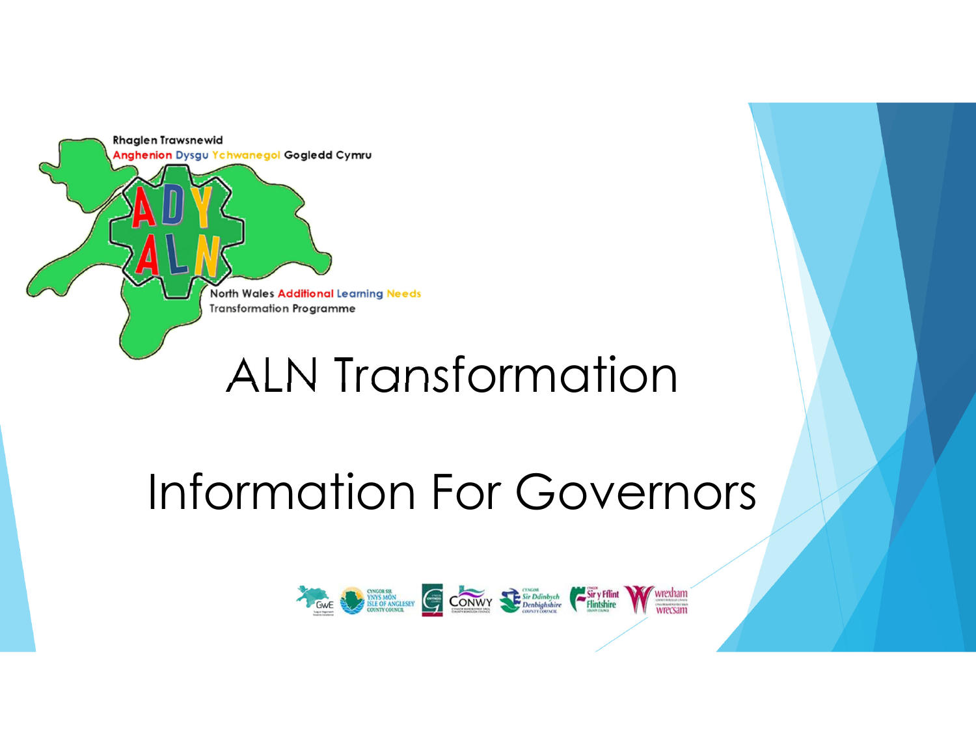

# Information For Governors

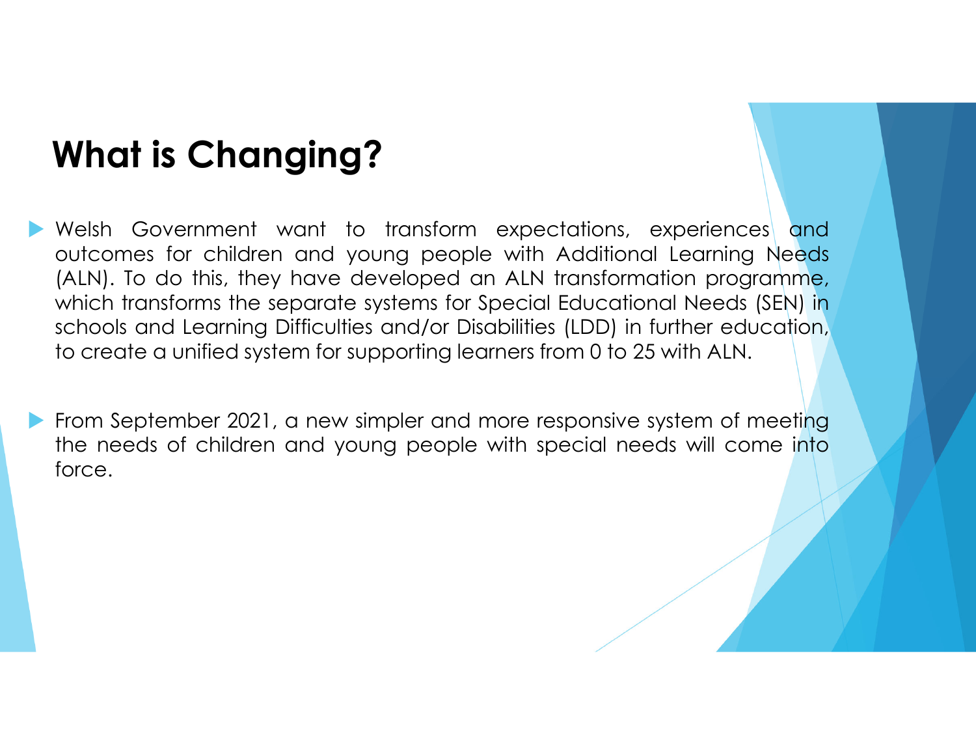## **What is Changing?**

 Welsh Government want to transform expectations, experiences and outcomes for children and young people with Additional Learning Needs (ALN). To do this, they have developed an ALN transformation programme, which transforms the separate systems for Special Educational Needs (SEN) in schools and Learning Difficulties and/or Disabilities (LDD) in further education, to create <sup>a</sup> unified system for supporting learners from <sup>0</sup> to <sup>25</sup> with ALN.

From September 2021, a new simpler and more responsive system of meeting<br>the needs of children and voung peeple with special peeds will come into the needs of children and young people with special needs will come into force.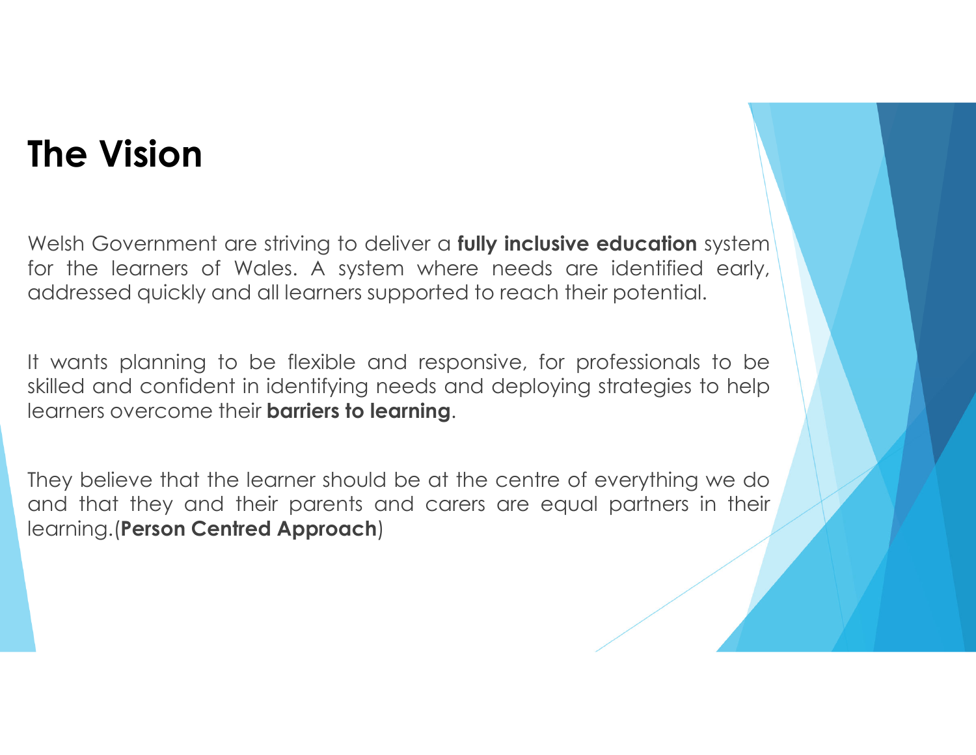### **The Vision**

Welsh Government are striving to deliver <sup>a</sup> **fully inclusive education** systemfor the learners of Wales. A system where needs are identified early,<br>eddsessed quickly and all learners supported to reach their potential addressed quickly and all learners supported to reach their potential.

It wants planning to be flexible and responsive, for professionals to be skilled and confident in identifying needs and deploying strategies to help learners overcome their **barriers to learning**.

They believe that the learner should be at the centre of everything we do and that they and their parents and carers are equal partners in their learning.(**Person Centred Approach**)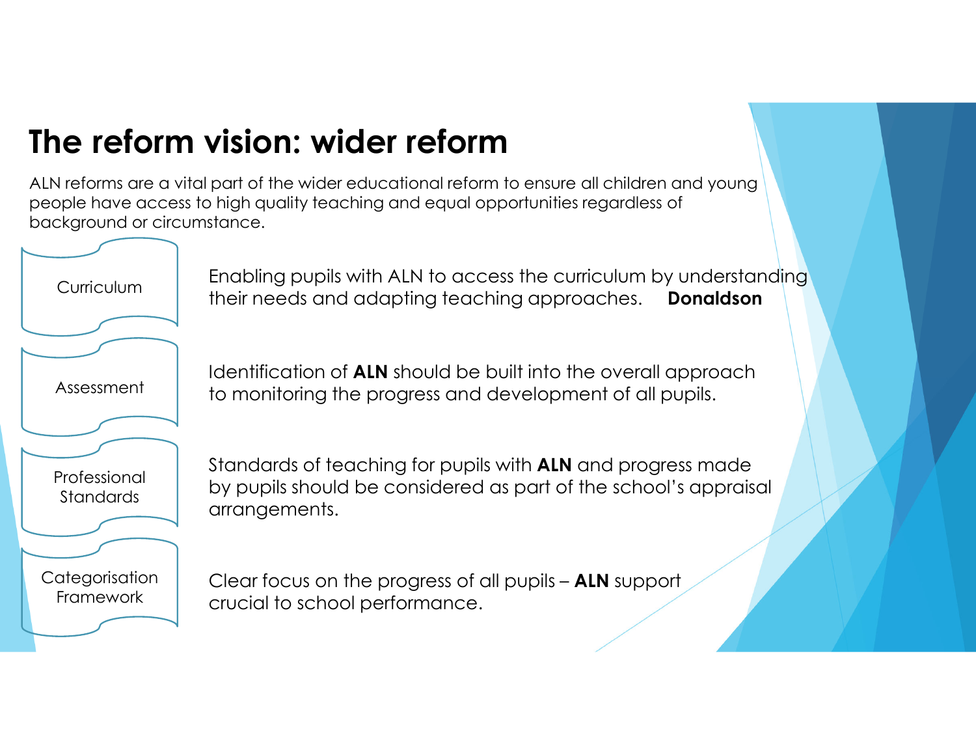### **The reform vision: wider reform**

 ALN reforms are a vital part of the wider educational reform to ensure all children and young people have access to high quality teaching and equal opportunities regardless of background or circumstance.

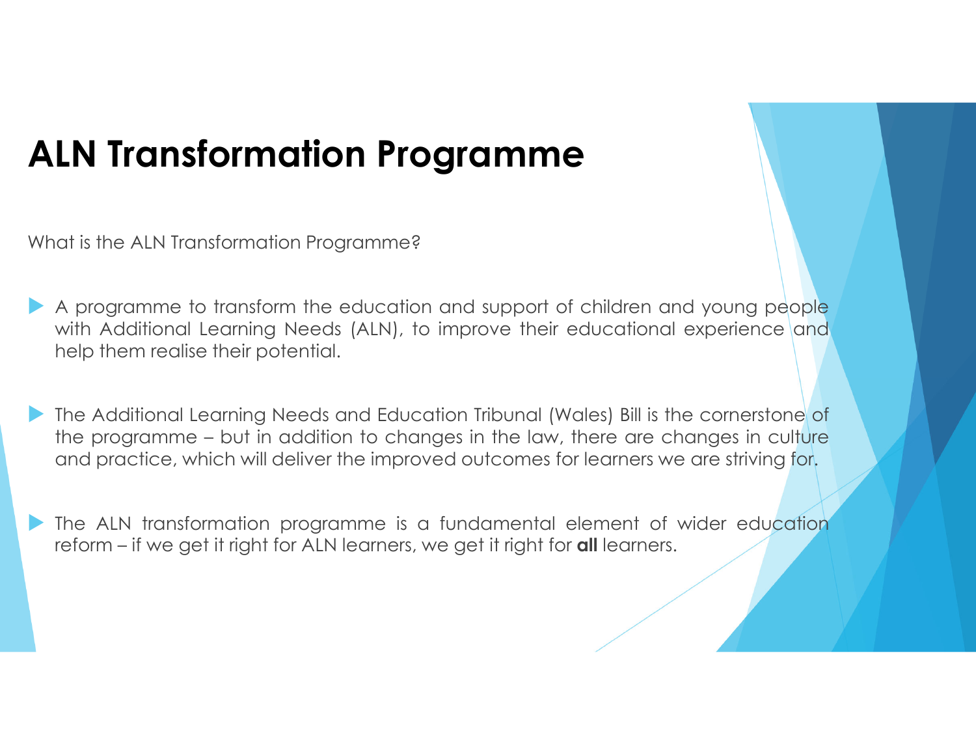### **ALN Transformation Programme**

What is the ALN Transformation Programme?

 $\blacktriangleright$  <sup>A</sup> programme to transform the education and support of children and young people with Additional Learning Needs (ALN), to improve their educational experience and help them realise their potential.

 $\blacktriangleright$  The Additional Learning Needs and Education Tribunal (Wales) Bill is the cornerstone of the programme – but in addition to changes in the law, there are changes in culture and practice, which will deliver the improved outcomes for learners we are striving for.

 $\blacktriangleright$ The ALN transformation programme is a fundamental element of wider education reform – if we get it right for ALN learners, we get it right for **all** learners.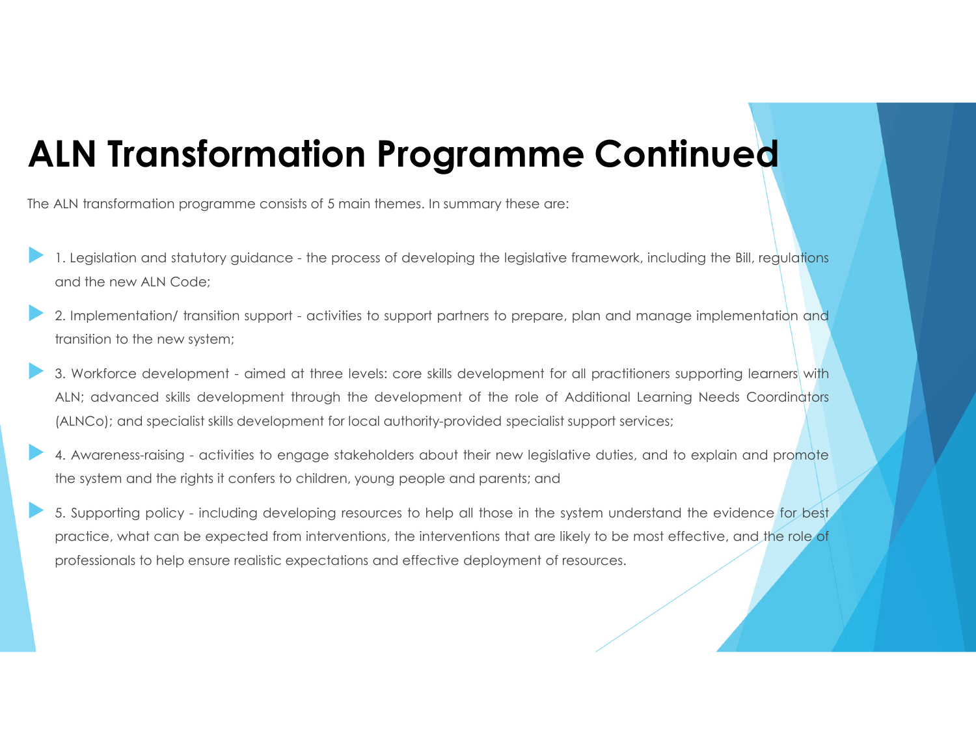### **ALN Transformation Programme Continued**

The ALN transformation programme consists of <sup>5</sup> main themes. In summary these are:

- $\blacktriangleright$ 1. Legislation and statutory guidance - the process of developing the legislative framework, including the Bill, regulations and the new ALN Code;
- $\blacktriangleright$  2. Implementation/ transition support - activities to support partners to prepare, plan and manage implementation and transition to the new system;
- $\blacktriangleright$  3. Workforce development - aimed at three levels: core skills development for all practitioners supporting learners with ALN; advanced skills development through the development of the role of Additional Learning Needs Coordinators (ALNCo); and specialist skills development for local authority-provided specialist support services;
- $\blacktriangleright$ 4. Awareness-raising - activities to engage stakeholders about their new legislative duties, and to explain and promote<br>the extern and the sightest center to ebildren veuse needle and parents and the system and the rights it confers to children, young people and parents; and
- $\blacktriangleright$  5. Supporting policy - including developing resources to help all those in the system understand the evidence for best practice, what can be expected from interventions, the interventions that are likely to be most effective, and the role of professionals to help ensure realistic expectations and effective deployment of resources.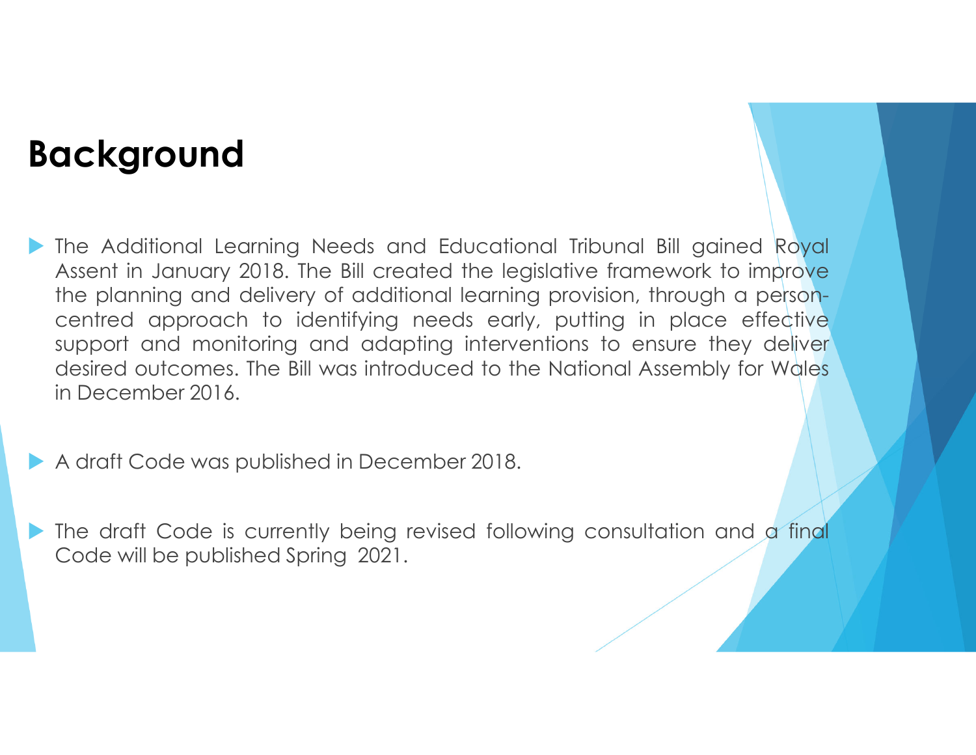### **Background**

The Additional Learning Needs and Educational Tribunal Bill gained Royal<br>Assent in January 2018, The Bill created the legislative framework to improve Assent in January 2018. The Bill created the legislative framework to improve the planning and delivery of additional learning provision, through <sup>a</sup> personcentred approach to identifying needs early, putting in place effective support and monitoring and adapting interventions to ensure they deliver desired outcomes. The Bill was introduced to the National Assembly for Wales in December 2016.

A draft Code was published in December 2018.

The draft Code is currently being revised following consultation and a final<br>Code will be published Spring 2021 Code will be published Spring 2021.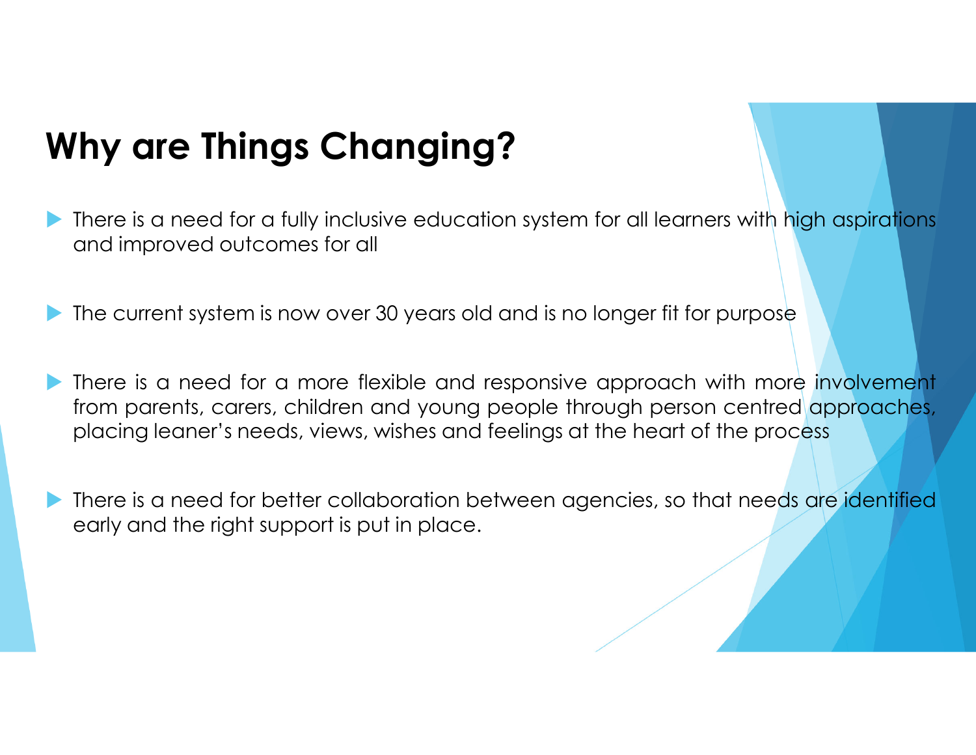## **Why are Things Changing?**

- $\blacktriangleright$ There is a need for a fully inclusive education system for all learners with high aspirations and improved outcomes for all
- $\blacktriangleright$ The current system is now over <sup>30</sup> years old and is no longer fit for purpose
- $\blacktriangleright$ There is a need for a more flexible and responsive approach with more involvement from parents, carers, children and young people through person centred approaches, placing leaner's needs, views, wishes and feelings at the heart of the process
- $\blacktriangleright$ There is a need for better collaboration between agencies, so that needs are identified early and the right support is put in place.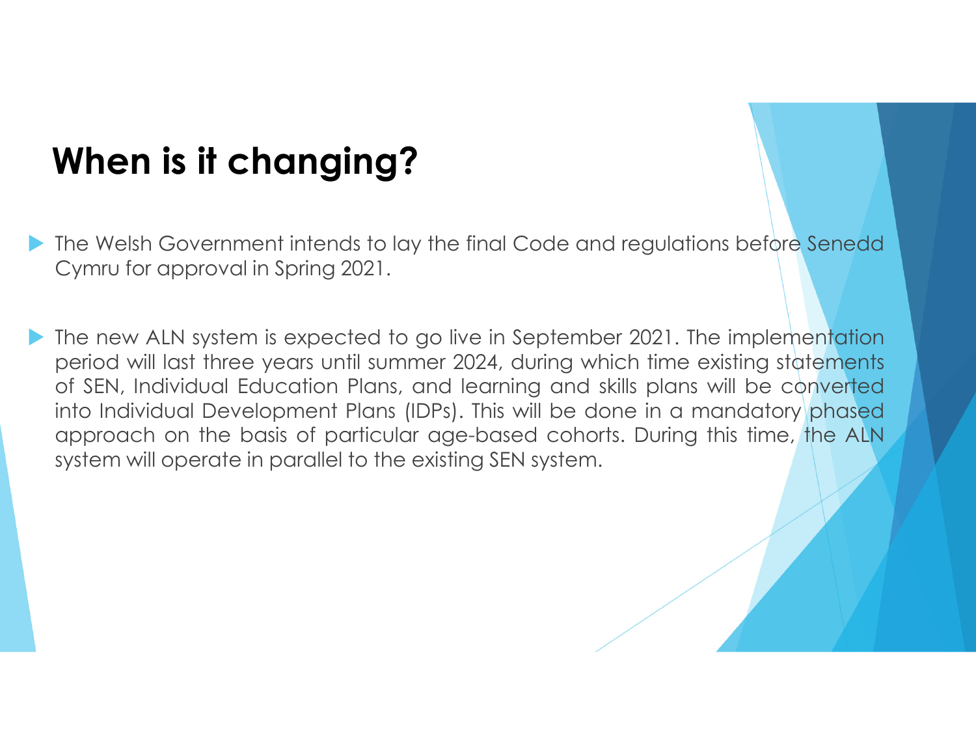## **When is it changing?**

- The Welsh Government intends to lay the final Code and regulations before Senedd<br>Cymru for approval in Spring 2021 Cymru for approval in Spring 2021.
- $\blacktriangleright$  The new ALN system is expected to go live in September 2021. The implementation period will last three years until summer 2024, during which time existing statements of SEN, Individual Education Plans, and learning and skills plans will be converted into Individual Development Plans (IDPs). This will be done in <sup>a</sup> mandatory phased approach on the basis of particular age-based cohorts. During this time, the ALN system will operate in parallel to the existing SEN system.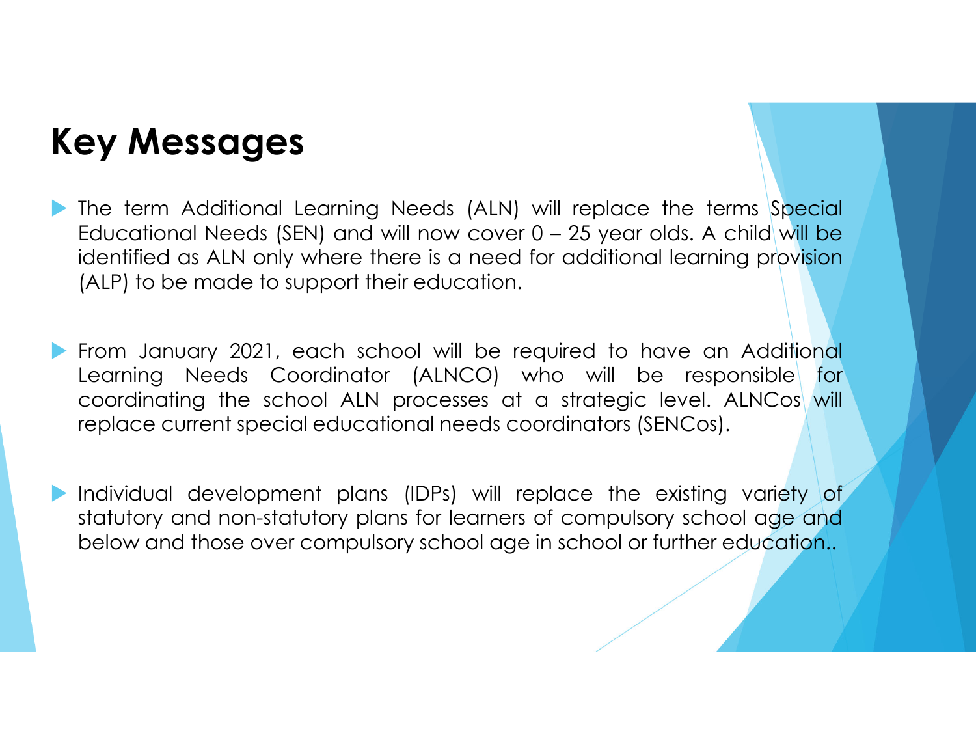### **Key Messages**

- $\blacktriangleright$  The term Additional Learning Needs (ALN) will replace the terms Special Educational Needs (SEN) and will now cover <sup>0</sup> – <sup>25</sup> year olds. <sup>A</sup> child will be identified as ALN only where there is <sup>a</sup> need for additional learning provision (ALP) to be made to support their education.
- $\blacktriangleright$  From January 2021, each school will be required to have an Additional Learning Needs Coordinator (ALNCO) who will be responsible for coordinating the school ALN processes at a strategic level. ALNCos will replace current special educational needs coordinators (SENCos).
- $\blacktriangleright$ Individual development plans (IDPs) will replace the existing variety of statutory and non-statutory plans for learners of compulsory school age and below and those over compulsory school age in school or further education..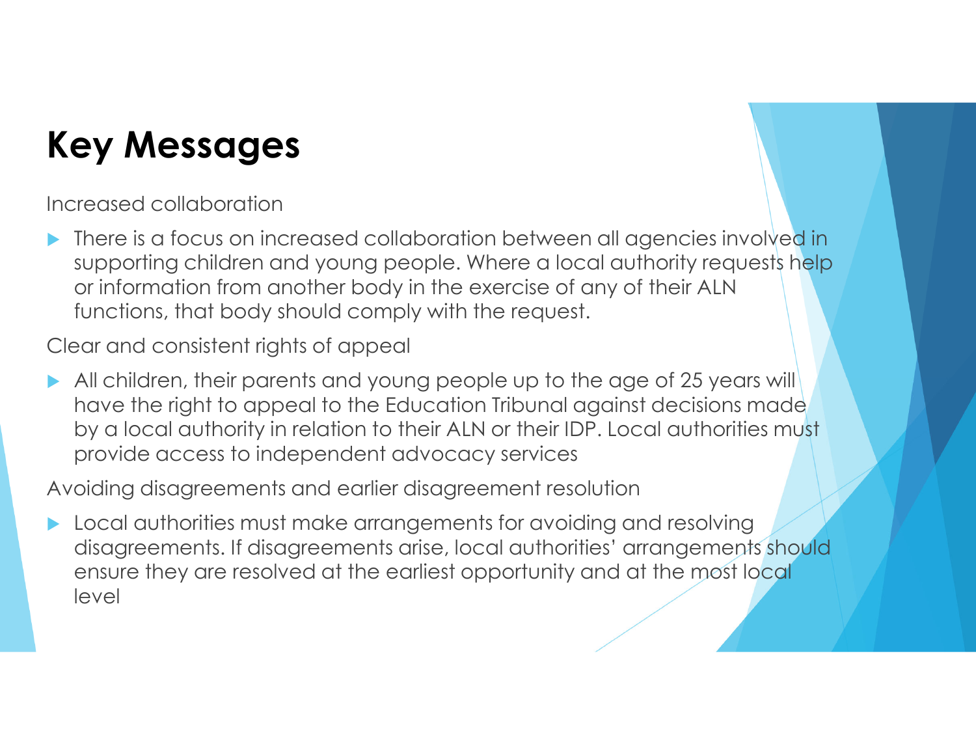### **Key Messages**

Increased collaboration

 $\blacktriangleright$  There is a focus on increased collaboration between all agencies involved in supporting children and young people. Where a local authority requests help or information from another body in the exercise of any of their ALN functions, that body should comply with the request.

Clear and consistent rights of appeal

 $\blacktriangleright$ All children, their parents and young people up to the age of 25 years will have the right to appeal to the Education Tribunal against decisions made by a local authority in relation to their ALN or their IDP. Local authorities must provide access to independent advocacy services

Avoiding disagreements and earlier disagreement resolution

 $\blacktriangleright$  Local authorities must make arrangements for avoiding and resolving disagreements. If disagreements arise, local authorities' arrangements should ensure they are resolved at the earliest opportunity and at the most local level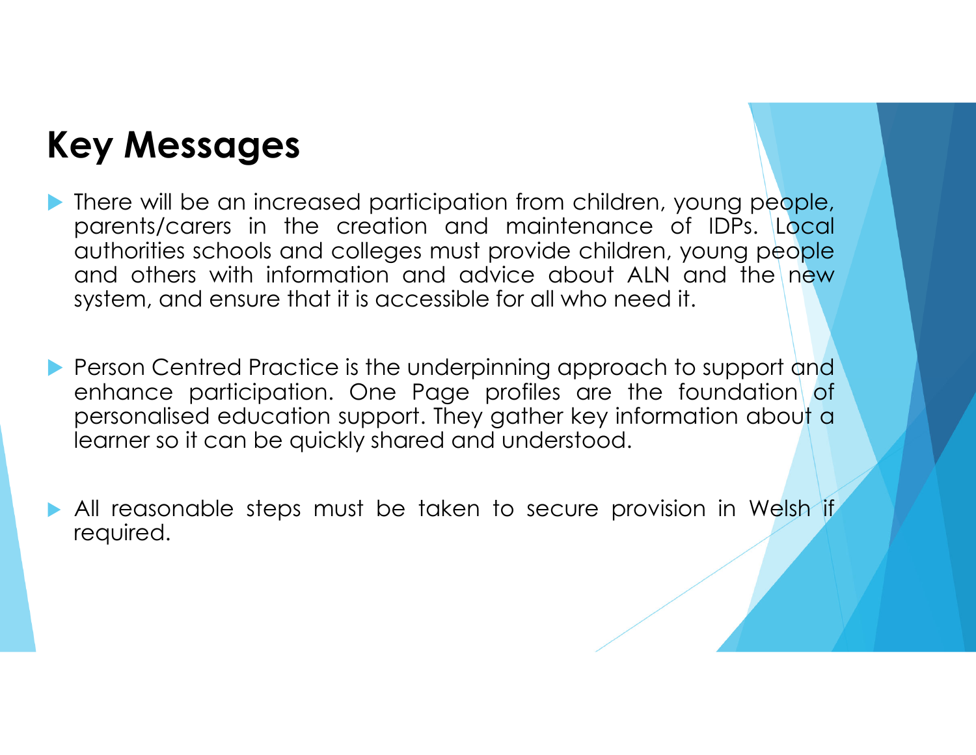### **Key Messages**

 $\blacktriangleright$  There will be an increased participation from children, young people, parents/carers in the creation and maintenance of IDPs. Local authorities schools and colleges must provide children, young people and others with information and advice about ALN and the new system, and ensure that it is accessible for all who need it.

- Person Centred Practice is the underpinning approach to support and<br>enhance participation. One Page profiles are the foundation of enhance participation. One Page profiles are the foundation of personalised education support. They gather key information about <sup>a</sup> learner so it can be quickly shared and understood.
- All reasonable steps must be taken to secure provision in Welsh if required.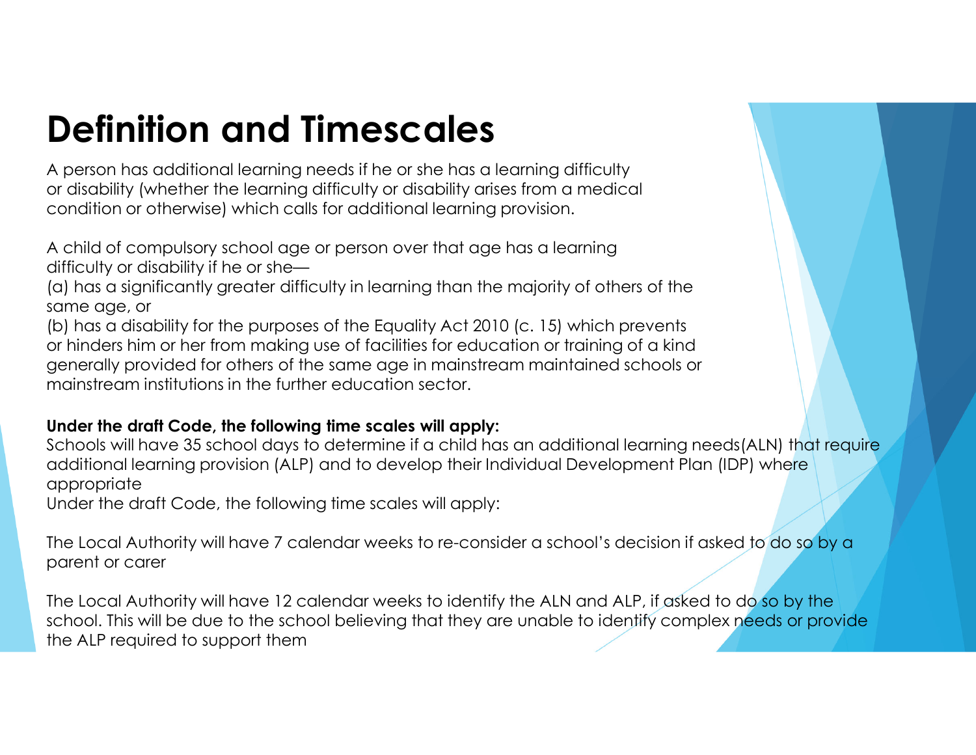## **Definition and Timescales**

A person has additional learning needs if he or she has a learning difficulty or disability (whether the learning difficulty or disability arises from a medical condition or otherwise) which calls for additional learning provision.

A child of compulsory school age or person over that age has a learningdifficulty or disability if he or she—

 (a) has a significantly greater difficulty in learning than the majority of others of thesame age, or

(b) has a disability for the purposes of the Equality Act 2010 (c. 15) which prevents or hinders him or her from making use of facilities for education or training of a kind generally provided for others of the same age in mainstream maintained schools ormainstream institutions in the further education sector.

#### **Under the draft Code, the following time scales will apply:**

Schools will have 35 school days to determine if a child has an additional learning needs(ALN) that require additional learning provision (ALP) and to develop their Individual Development Plan (IDP) where appropriate

Under the draft Code, the following time scales will apply:

The Local Authority will have 7 calendar weeks to re-consider a school's decision if asked to do so by a parent or carer

The Local Authority will have 12 calendar weeks to identify the ALN and ALP, if asked to do so by the school. This will be due to the school believing that they are unable to identify complex needs or provide the ALP required to support them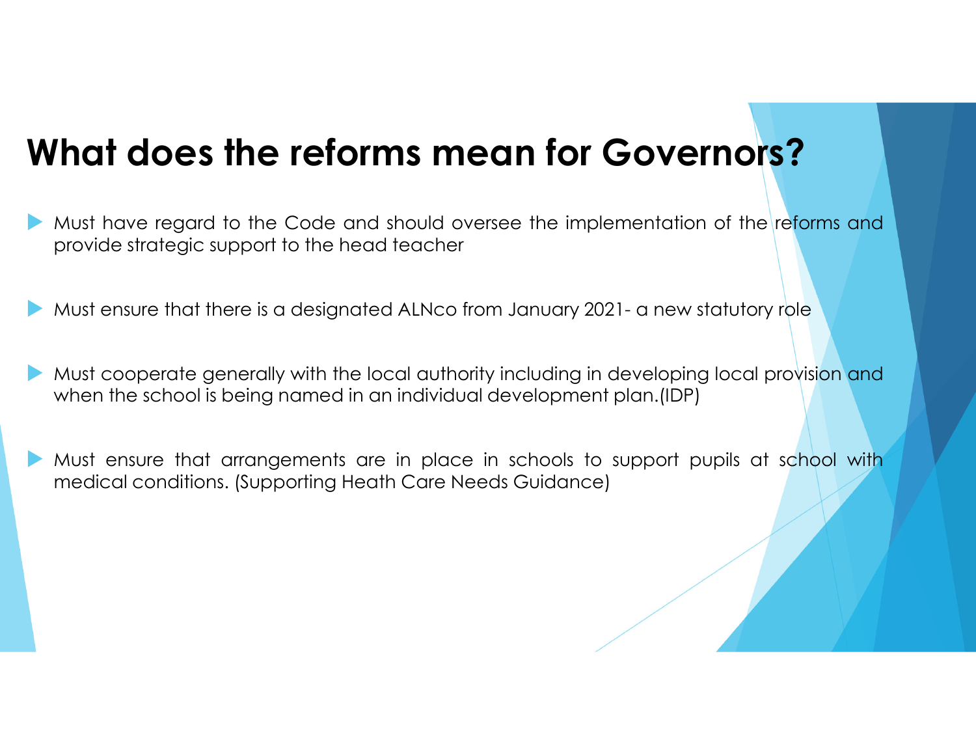### **What does the reforms mean for Governors?**

- $\blacktriangleright$ Must have regard to the Code and should oversee the implementation of the reforms and provide strategic support to the head teacher
- $\blacktriangleright$ Must ensure that there is <sup>a</sup> designated ALNco from January 2021- <sup>a</sup> new statutory role
- $\blacktriangleright$ Must cooperate generally with the local authority including in developing local provision and when the school is being named in an individual development plan.(IDP)
- $\blacktriangleright$  Must ensure that arrangements are in place in schools to support pupils at school with medical conditions. (Supporting Heath Care Needs Guidance)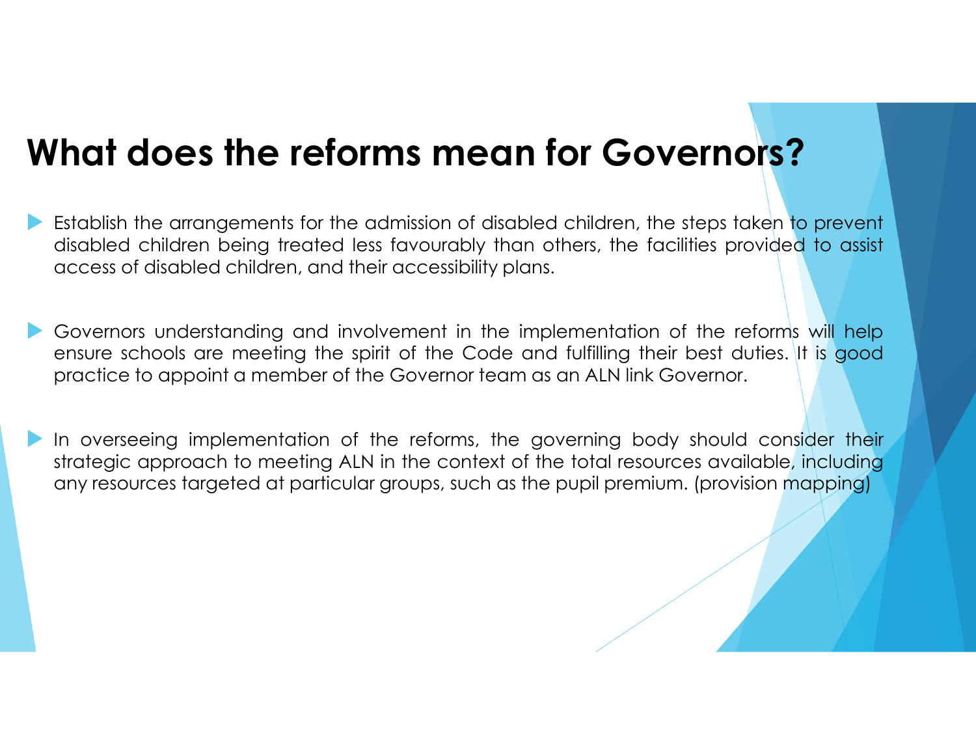### **What does the reforms mean for Governors?**

- $\blacktriangleright$  Establish the arrangements for the admission of disabled children, the steps taken to prevent disabled children being treated less favourably than others, the facilities provided to assist access of disabled children, and their accessibility plans.
- $\blacktriangleright$  Governors understanding and involvement in the implementation of the reforms will help ensure schools are meeting the spirit of the Code and fulfilling their best duties. It is good practice to appoint <sup>a</sup> member of the Governor team as an ALN link Governor.
- $\blacktriangleright$  In overseeing implementation of the reforms, the governing body should consider their strategic approach to meeting ALN in the context of the total resources available, including any resources targeted at particular groups, such as the pupil premium. (provision mapping)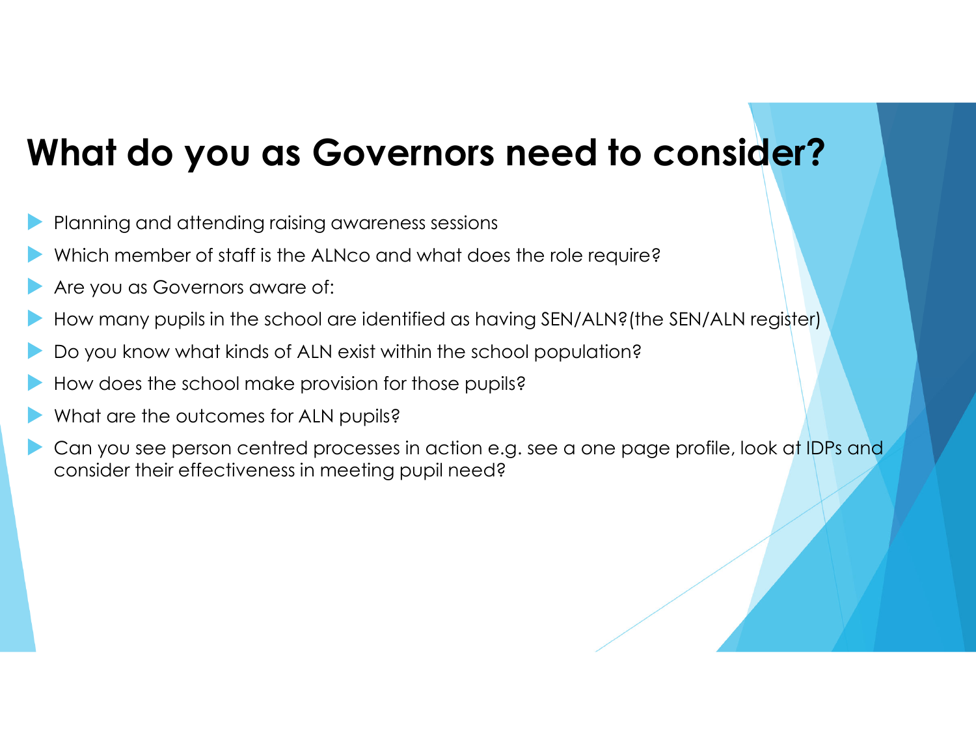### **What do you as Governors need to consider?**

- $\blacktriangleright$ Planning and attending raising awareness sessions
- $\blacktriangleright$ Which member of staff is the ALNco and what does the role require?
- $\blacktriangleright$ Are you as Governors aware of:
- $\blacktriangleright$ How many pupils in the school are identified as having SEN/ALN?(the SEN/ALN register)
- $\blacktriangleright$ Do you know what kinds of ALN exist within the school population?
- $\blacktriangleright$ How does the school make provision for those pupils?
- $\blacktriangleright$ What are the outcomes for ALN pupils?
- $\blacktriangleright$  Can you see person centred processes in action e.g. see <sup>a</sup> one page profile, look at IDPs and consider their effectiveness in meeting pupil need?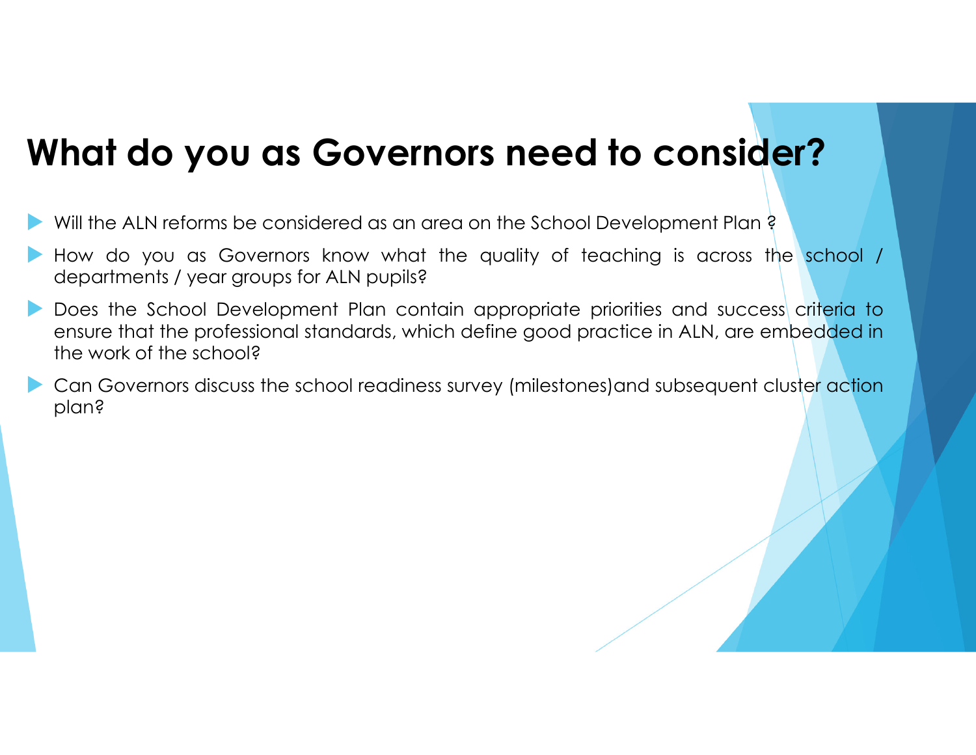### **What do you as Governors need to consider?**

- $\blacktriangleright$ Will the ALN reforms be considered as an area on the School Development Plan ?
- $\blacktriangleright$  How do you as Governors know what the quality of teaching is across the school / departments / year groups for ALN pupils?
- $\blacktriangleright$  Does the School Development Plan contain appropriate priorities and success criteria to ensure that the professional standards, which define good practice in ALN, are embedded in the work of the school?
- $\blacktriangleright$  Can Governors discuss the school readiness survey (milestones)and subsequent cluster action plan?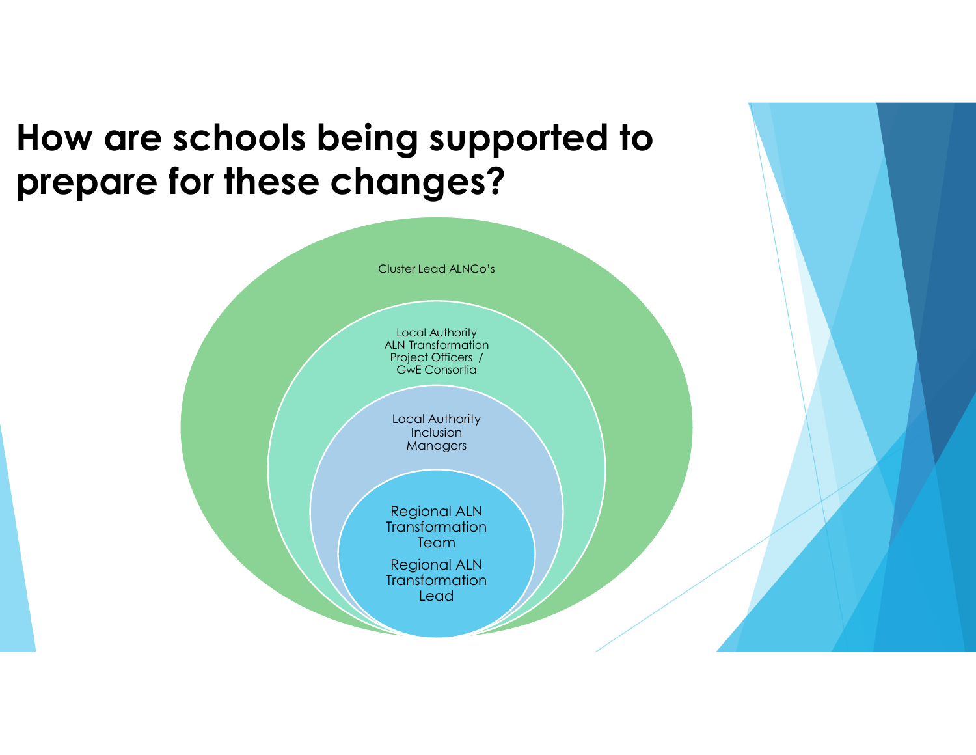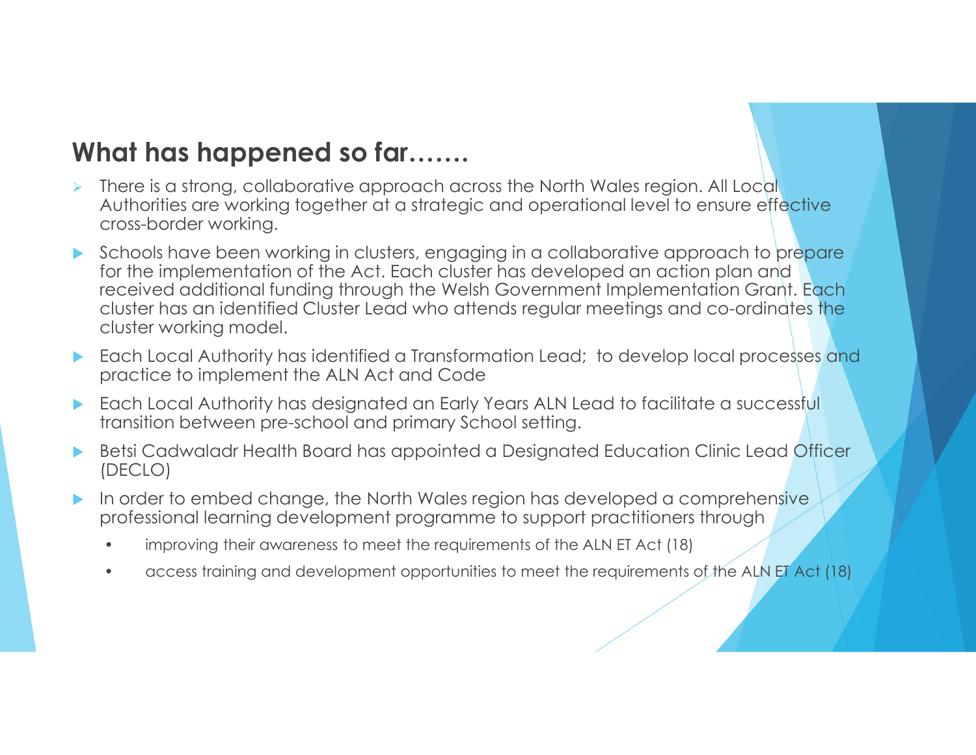### **What has happened so far…….**

- ➤ There is a strong, collaborative approach across the North Wales region. All Local Authorities are working together at a strategic and operational level to ensure effective cross-border working.
- $\blacktriangleright$  Schools have been working in clusters, engaging in a collaborative approach to prepare<br>for the implementation of the Act. Each cluster has developed an action plan and for the implementation of the Act. Each cluster has developed an action plan and received additional funding through the Welsh Government Implementation Grant. Each cluster has an identified Cluster Lead who attends regular meetings and co-ordinates the cluster working model.
- $\blacktriangleright$  Each Local Authority has identified a Transformation Lead; to develop local processes and practice to implement the ALN Act and Code
- $\blacktriangleright$  Each Local Authority has designated an Early Years ALN Lead to facilitate a successful transition between pre-school and primary School setting.
- $\blacktriangleright$  Betsi Cadwaladr Health Board has appointed a Designated Education Clinic Lead Officer (DECLO)
- $\blacktriangleright$  In order to embed change, the North Wales region has developed a comprehensive professional learning development programme to support practitioners through
	- •improving their awareness to meet the requirements of the ALN ET Act (18)
	- •access training and development opportunities to meet the requirements of the ALN ET Act (18)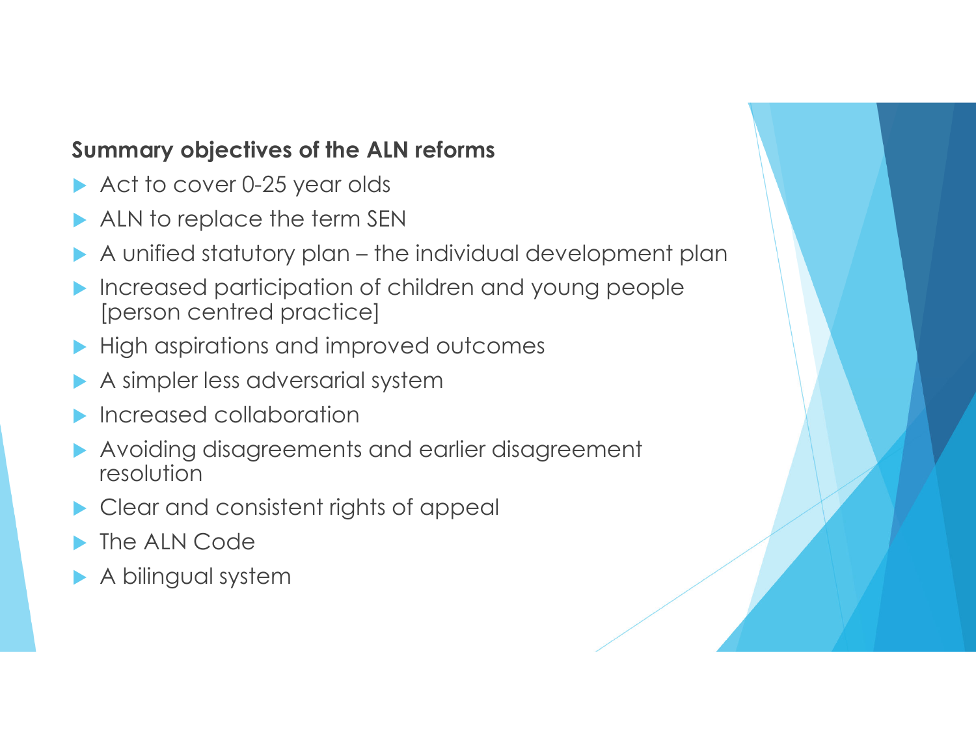### **Summary objectives of the ALN reforms**

- Act to cover 0-25 year olds
- ALN to replace the term SEN
- A unified statutory plan the individual development plan  $\blacktriangleright$
- $\blacktriangleright$  Increased participation of children and young people [person centred practice]
- **High aspirations and improved outcomes**
- $\blacktriangleright$ A simpler less adversarial system
- $\blacktriangleright$ Increased collaboration
- $\blacktriangleright$  Avoiding disagreements and earlier disagreement resolution
- $\blacktriangleright$ Clear and consistent rights of appeal
- $\blacktriangleright$ The ALN Code
- A bilingual system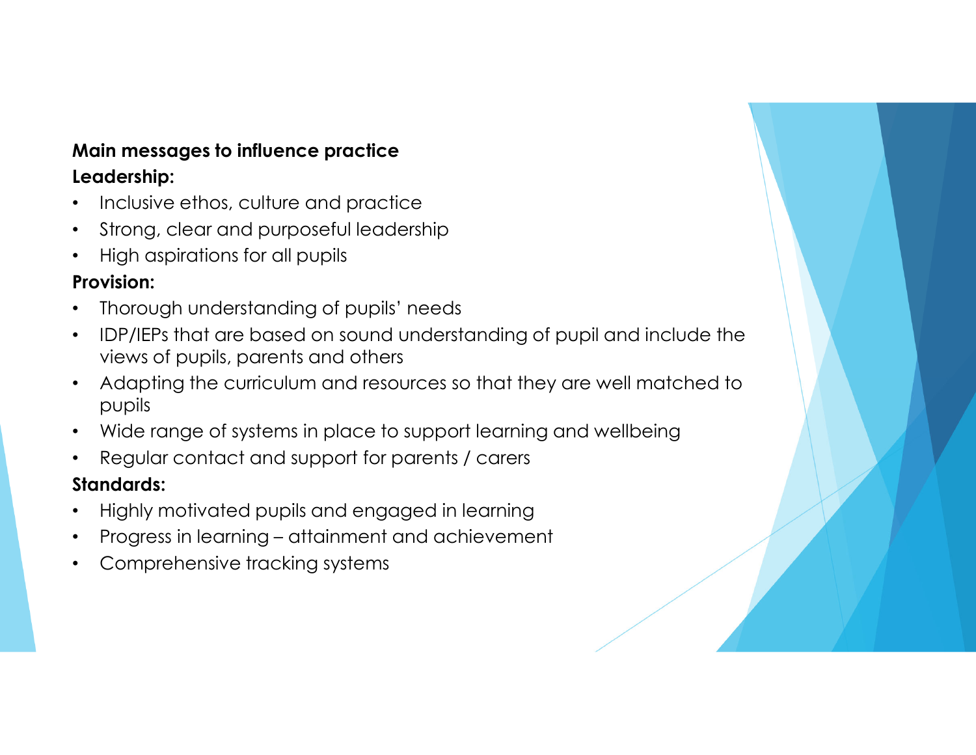#### **Main messages to influence practiceLeadership:**

- •Inclusive ethos, culture and practice
- Strong, clear and purposeful leadership $\bullet$
- •High aspirations for all pupils

### **Provision:**

- •Thorough understanding of pupils' needs
- • IDP/IEPs that are based on sound understanding of pupil and include the views of pupils, parents and others
- • Adapting the curriculum and resources so that they are well matched to pupils
- $\bullet$ Wide range of systems in place to support learning and wellbeing
- •Regular contact and support for parents / carers

#### **Standards:**

- •Highly motivated pupils and engaged in learning
- Progress in learning attainment and achievement •
- •Comprehensive tracking systems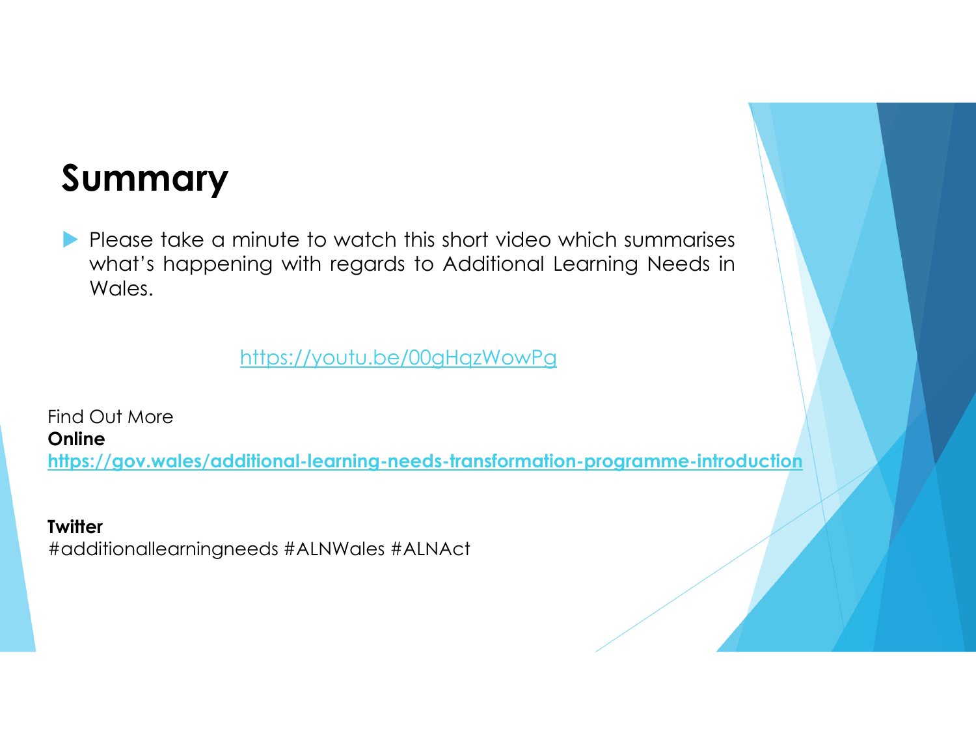### **Summary**

Please take a minute to watch this short video which summarises what's happening with regards to Additional Learning Needs in Wales.

https://youtu.be/00gHqzWowPg

Find Out More**Onlinehttps://gov.wales/additional-learning-needs-transformation-programme-introduction**

**Twitter** #additionallearningneeds #ALNWales #ALNAct